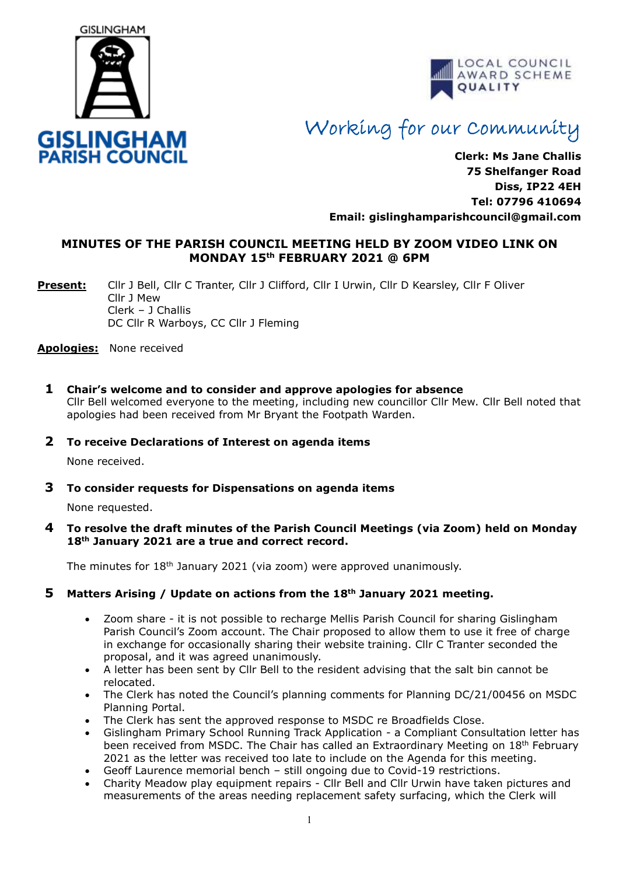



# Working for our Community

**Clerk: Ms Jane Challis 75 Shelfanger Road Diss, IP22 4EH Tel: 07796 410694 Email: [gislinghamparishcouncil@gmail.com](mailto:gislinghamparishcouncil@gmail.com)**

# **MINUTES OF THE PARISH COUNCIL MEETING HELD BY ZOOM VIDEO LINK ON MONDAY 15 th FEBRUARY 2021 @ 6PM**

**Present:** Cllr J Bell, Cllr C Tranter, Cllr J Clifford, Cllr I Urwin, Cllr D Kearsley, Cllr F Oliver Cllr J Mew Clerk – J Challis DC Cllr R Warboys, CC Cllr J Fleming

**Apologies:** None received

**1 Chair's welcome and to consider and approve apologies for absence** Cllr Bell welcomed everyone to the meeting, including new councillor Cllr Mew. Cllr Bell noted that apologies had been received from Mr Bryant the Footpath Warden.

#### **2 To receive Declarations of Interest on agenda items**

None received.

**3 To consider requests for Dispensations on agenda items**

None requested.

**4 To resolve the draft minutes of the Parish Council Meetings (via Zoom) held on Monday 18th January 2021 are a true and correct record.** 

The minutes for  $18<sup>th</sup>$  January 2021 (via zoom) were approved unanimously.

# **5 Matters Arising / Update on actions from the 18th January 2021 meeting.**

- Zoom share it is not possible to recharge Mellis Parish Council for sharing Gislingham Parish Council's Zoom account. The Chair proposed to allow them to use it free of charge in exchange for occasionally sharing their website training. Cllr C Tranter seconded the proposal, and it was agreed unanimously.
- A letter has been sent by Cllr Bell to the resident advising that the salt bin cannot be relocated.
- The Clerk has noted the Council's planning comments for Planning DC/21/00456 on MSDC Planning Portal.
- The Clerk has sent the approved response to MSDC re Broadfields Close.
- Gislingham Primary School Running Track Application a Compliant Consultation letter has been received from MSDC. The Chair has called an Extraordinary Meeting on 18th February 2021 as the letter was received too late to include on the Agenda for this meeting.
- Geoff Laurence memorial bench still ongoing due to Covid-19 restrictions.
- Charity Meadow play equipment repairs Cllr Bell and Cllr Urwin have taken pictures and measurements of the areas needing replacement safety surfacing, which the Clerk will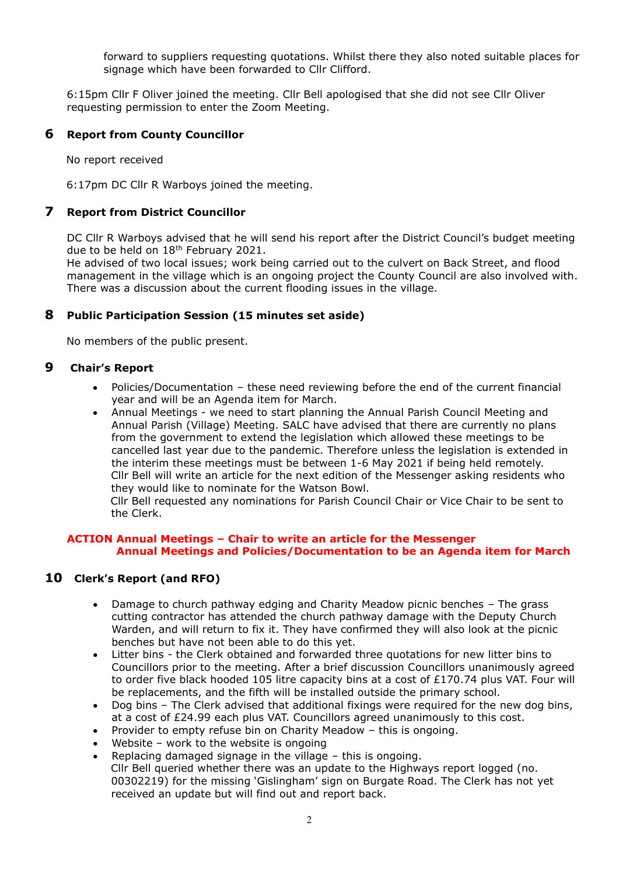forward to suppliers requesting quotations. Whilst there they also noted suitable places for signage which have been forwarded to Cllr Clifford.

6:15pm Cllr F Oliver joined the meeting. Cllr Bell apologised that she did not see Cllr Oliver requesting permission to enter the Zoom Meeting.

#### **6 Report from County Councillor**

No report received

6:17pm DC Cllr R Warboys joined the meeting.

### **7 Report from District Councillor**

DC Cllr R Warboys advised that he will send his report after the District Council's budget meeting due to be held on  $18<sup>th</sup>$  February 2021.

He advised of two local issues; work being carried out to the culvert on Back Street, and flood management in the village which is an ongoing project the County Council are also involved with. There was a discussion about the current flooding issues in the village.

# **8 Public Participation Session (15 minutes set aside)**

No members of the public present.

#### **9 Chair's Report**

- Policies/Documentation these need reviewing before the end of the current financial year and will be an Agenda item for March.
- Annual Meetings we need to start planning the Annual Parish Council Meeting and Annual Parish (Village) Meeting. SALC have advised that there are currently no plans from the government to extend the legislation which allowed these meetings to be cancelled last year due to the pandemic. Therefore unless the legislation is extended in the interim these meetings must be between 1-6 May 2021 if being held remotely. Cllr Bell will write an article for the next edition of the Messenger asking residents who they would like to nominate for the Watson Bowl.

 Cllr Bell requested any nominations for Parish Council Chair or Vice Chair to be sent to the Clerk.

#### **ACTION Annual Meetings – Chair to write an article for the Messenger Annual Meetings and Policies/Documentation to be an Agenda item for March**

# **10 Clerk's Report (and RFO)**

- Damage to church pathway edging and Charity Meadow picnic benches The grass cutting contractor has attended the church pathway damage with the Deputy Church Warden, and will return to fix it. They have confirmed they will also look at the picnic benches but have not been able to do this yet.
- Litter bins the Clerk obtained and forwarded three quotations for new litter bins to Councillors prior to the meeting. After a brief discussion Councillors unanimously agreed to order five black hooded 105 litre capacity bins at a cost of  $£170.74$  plus VAT. Four will be replacements, and the fifth will be installed outside the primary school.
- Dog bins The Clerk advised that additional fixings were required for the new dog bins, at a cost of £24.99 each plus VAT. Councillors agreed unanimously to this cost.
- Provider to empty refuse bin on Charity Meadow this is ongoing.
- Website work to the website is ongoing
- Replacing damaged signage in the village this is ongoing. Cllr Bell queried whether there was an update to the Highways report logged (no. 00302219) for the missing 'Gislingham' sign on Burgate Road. The Clerk has not yet received an update but will find out and report back.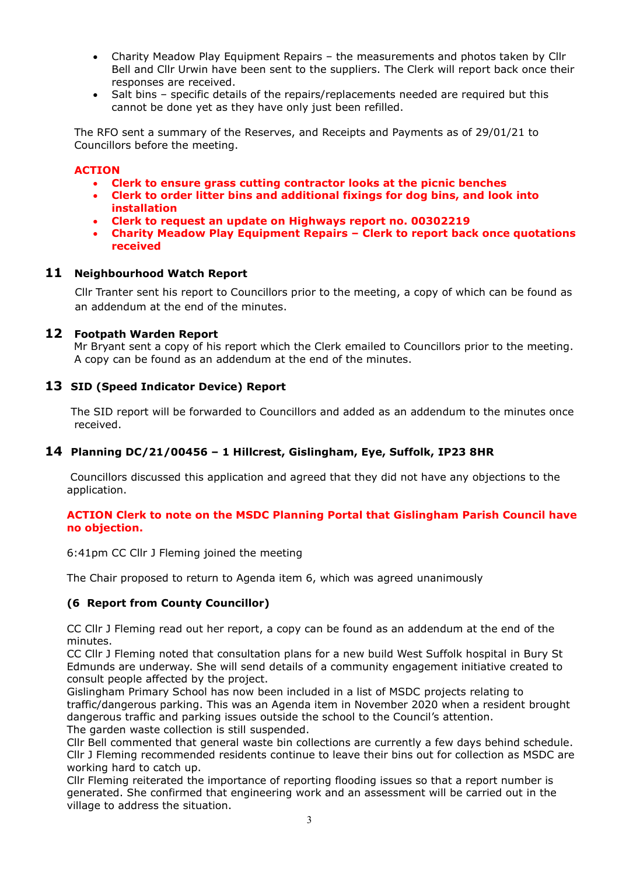- Charity Meadow Play Equipment Repairs the measurements and photos taken by Cllr Bell and Cllr Urwin have been sent to the suppliers. The Clerk will report back once their responses are received.
- Salt bins specific details of the repairs/replacements needed are required but this cannot be done yet as they have only just been refilled.

The RFO sent a summary of the Reserves, and Receipts and Payments as of 29/01/21 to Councillors before the meeting.

#### **ACTION**

- **Clerk to ensure grass cutting contractor looks at the picnic benches**
- **Clerk to order litter bins and additional fixings for dog bins, and look into installation**
- **Clerk to request an update on Highways report no. 00302219**
- **Charity Meadow Play Equipment Repairs – Clerk to report back once quotations received**

#### **11 Neighbourhood Watch Report**

Cllr Tranter sent his report to Councillors prior to the meeting, a copy of which can be found as an addendum at the end of the minutes.

#### **12 Footpath Warden Report**

 Mr Bryant sent a copy of his report which the Clerk emailed to Councillors prior to the meeting. A copy can be found as an addendum at the end of the minutes.

# **13 SID (Speed Indicator Device) Report**

The SID report will be forwarded to Councillors and added as an addendum to the minutes once received.

# **14 Planning DC/21/00456 – 1 Hillcrest, Gislingham, Eye, Suffolk, IP23 8HR**

Councillors discussed this application and agreed that they did not have any objections to the application.

#### **ACTION Clerk to note on the MSDC Planning Portal that Gislingham Parish Council have no objection.**

6:41pm CC Cllr J Fleming joined the meeting

The Chair proposed to return to Agenda item 6, which was agreed unanimously

#### **(6 Report from County Councillor)**

CC Cllr J Fleming read out her report, a copy can be found as an addendum at the end of the minutes.

CC Cllr J Fleming noted that consultation plans for a new build West Suffolk hospital in Bury St Edmunds are underway. She will send details of a community engagement initiative created to consult people affected by the project.

Gislingham Primary School has now been included in a list of MSDC projects relating to traffic/dangerous parking. This was an Agenda item in November 2020 when a resident brought dangerous traffic and parking issues outside the school to the Council's attention. The garden waste collection is still suspended.

Cllr Bell commented that general waste bin collections are currently a few days behind schedule. Cllr J Fleming recommended residents continue to leave their bins out for collection as MSDC are working hard to catch up.

Cllr Fleming reiterated the importance of reporting flooding issues so that a report number is generated. She confirmed that engineering work and an assessment will be carried out in the village to address the situation.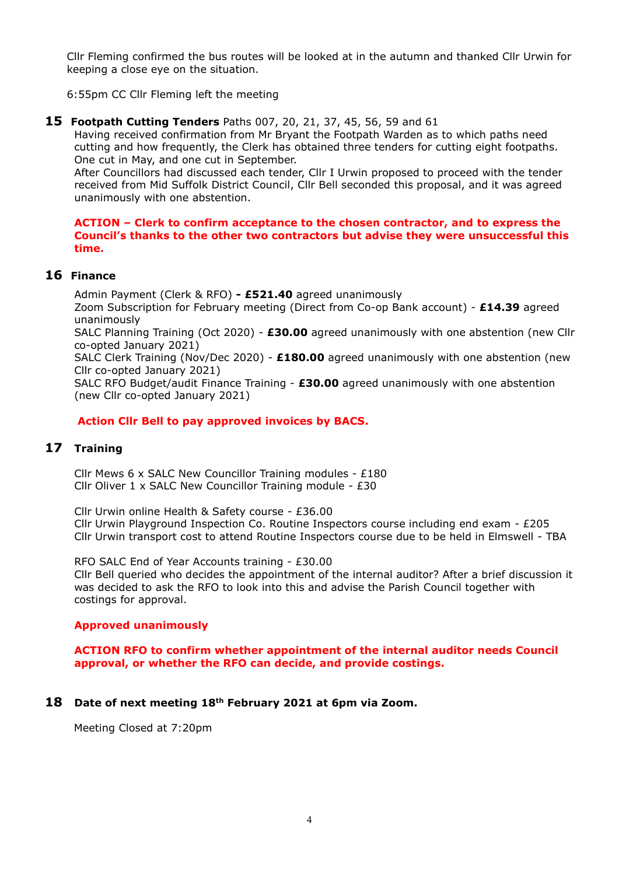Cllr Fleming confirmed the bus routes will be looked at in the autumn and thanked Cllr Urwin for keeping a close eye on the situation.

6:55pm CC Cllr Fleming left the meeting

**15 Footpath Cutting Tenders** Paths 007, 20, 21, 37, 45, 56, 59 and 61

Having received confirmation from Mr Bryant the Footpath Warden as to which paths need cutting and how frequently, the Clerk has obtained three tenders for cutting eight footpaths. One cut in May, and one cut in September.

After Councillors had discussed each tender, Cllr I Urwin proposed to proceed with the tender received from Mid Suffolk District Council, Cllr Bell seconded this proposal, and it was agreed unanimously with one abstention.

#### **ACTION – Clerk to confirm acceptance to the chosen contractor, and to express the Council's thanks to the other two contractors but advise they were unsuccessful this time.**

# **16 Finance**

Admin Payment (Clerk & RFO) **- £521.40** agreed unanimously

Zoom Subscription for February meeting (Direct from Co-op Bank account) - **£14.39** agreed unanimously

SALC Planning Training (Oct 2020) - **£30.00** agreed unanimously with one abstention (new Cllr co-opted January 2021)

SALC Clerk Training (Nov/Dec 2020) - **£180.00** agreed unanimously with one abstention (new Cllr co-opted January 2021)

SALC RFO Budget/audit Finance Training - **£30.00** agreed unanimously with one abstention (new Cllr co-opted January 2021)

#### **Action Cllr Bell to pay approved invoices by BACS.**

# **17 Training**

Cllr Mews 6 x SALC New Councillor Training modules - £180 Cllr Oliver 1 x SALC New Councillor Training module - £30

Cllr Urwin online Health & Safety course - £36.00 Cllr Urwin Playground Inspection Co. Routine Inspectors course including end exam - £205 Cllr Urwin transport cost to attend Routine Inspectors course due to be held in Elmswell - TBA

RFO SALC End of Year Accounts training - £30.00 Cllr Bell queried who decides the appointment of the internal auditor? After a brief discussion it was decided to ask the RFO to look into this and advise the Parish Council together with costings for approval.

# **Approved unanimously**

**ACTION RFO to confirm whether appointment of the internal auditor needs Council approval, or whether the RFO can decide, and provide costings.** 

**18 Date of next meeting 18th February 2021 at 6pm via Zoom.**

Meeting Closed at 7:20pm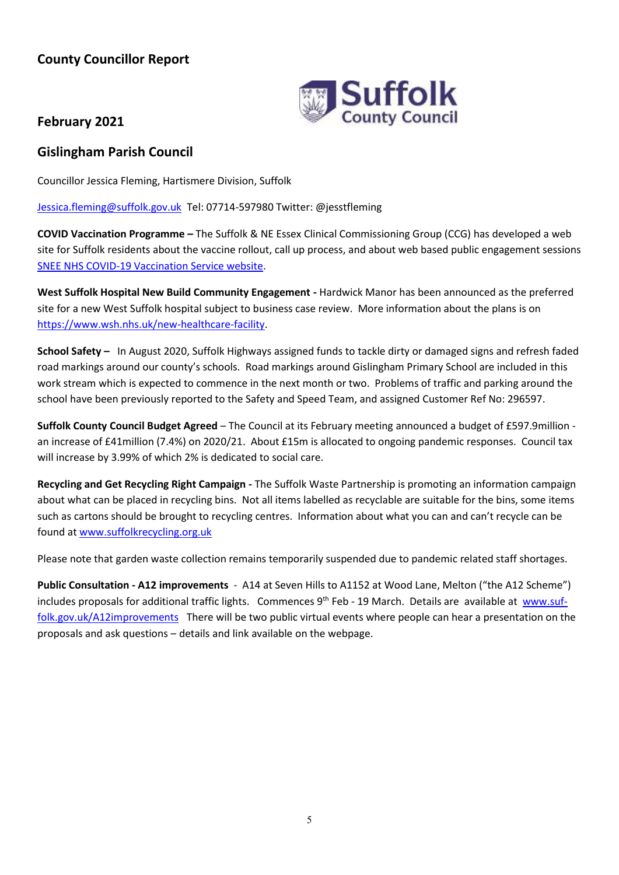# **County Councillor Report**



# **February 2021**

# **Gislingham Parish Council**

Councillor Jessica Fleming, Hartismere Division, Suffolk

[Jessica.fleming@suffolk.gov.uk](mailto:Jessica.fleming@suffolk.gov.uk) Tel: 07714-597980 Twitter: @jesstfleming

**COVID Vaccination Programme –** The Suffolk & NE Essex Clinical Commissioning Group (CCG) has developed a web site for Suffolk residents about the vaccine rollout, call up process, and about web based public engagement sessions [SNEE NHS COVID-19 Vaccination Service website.](https://sneevaccine.org.uk/)

**West Suffolk Hospital New Build Community Engagement -** Hardwick Manor has been announced as the preferred site for a new West Suffolk hospital subject to business case review. More information about the plans is on [https://www.wsh.nhs.uk/new-healthcare-facility.](https://www.wsh.nhs.uk/new-healthcare-facility)

**School Safety –** In August 2020, Suffolk Highways assigned funds to tackle dirty or damaged signs and refresh faded road markings around our county's schools. Road markings around Gislingham Primary School are included in this work stream which is expected to commence in the next month or two. Problems of traffic and parking around the school have been previously reported to the Safety and Speed Team, and assigned Customer Ref No: 296597.

**Suffolk County Council Budget Agreed** – The Council at its February meeting announced a budget of £597.9million an increase of £41million (7.4%) on 2020/21. About £15m is allocated to ongoing pandemic responses. Council tax will increase by 3.99% of which 2% is dedicated to social care.

**Recycling and Get Recycling Right Campaign -** The Suffolk Waste Partnership is promoting an information campaign about what can be placed in recycling bins. Not all items labelled as recyclable are suitable for the bins, some items such as cartons should be brought to recycling centres. Information about what you can and can't recycle can be found at [www.suffolkrecycling.org.uk](http://www.suffolkrecycling.org.uk/)

Please note that garden waste collection remains temporarily suspended due to pandemic related staff shortages.

**Public Consultation - A12 improvements** - A14 at Seven Hills to A1152 at Wood Lane, Melton ("the A12 Scheme") includes proposals for additional traffic lights. Commences 9<sup>th</sup> Feb - 19 March. Details are available at [www.suf](https://suffolk.us19.list-manage.com/track/click?u=7e08469569c2cfa1901c585e2&id=5eecc13404&e=f16bdb9862)[folk.gov.uk/A12improvements](https://suffolk.us19.list-manage.com/track/click?u=7e08469569c2cfa1901c585e2&id=5eecc13404&e=f16bdb9862) There will be two public virtual events where people can hear a presentation on the proposals and ask questions – details and link available on the webpage.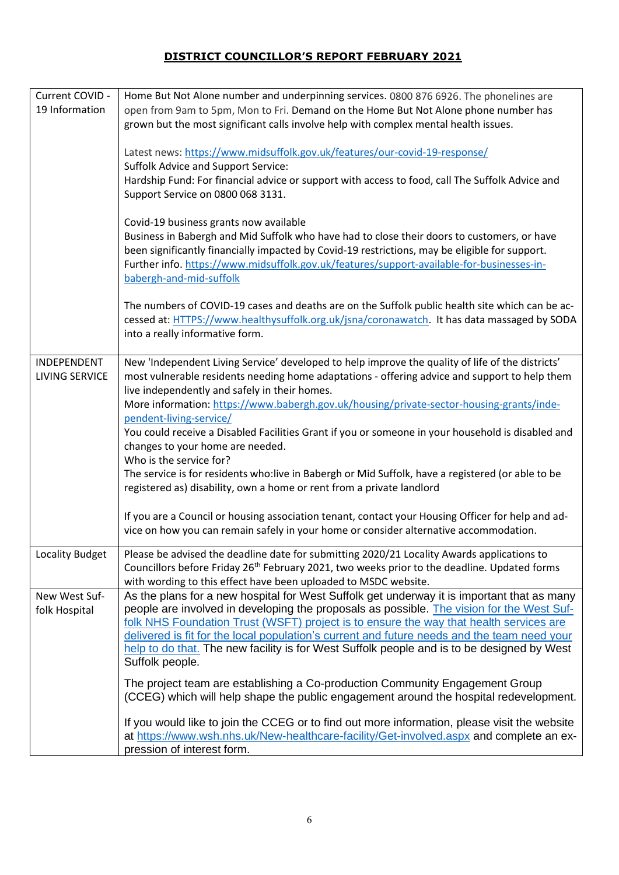# **DISTRICT COUNCILLOR'S REPORT FEBRUARY 2021**

| Current COVID -<br>19 Information    | Home But Not Alone number and underpinning services. 0800 876 6926. The phonelines are<br>open from 9am to 5pm, Mon to Fri. Demand on the Home But Not Alone phone number has<br>grown but the most significant calls involve help with complex mental health issues.<br>Latest news: https://www.midsuffolk.gov.uk/features/our-covid-19-response/                                                                                                                                               |
|--------------------------------------|---------------------------------------------------------------------------------------------------------------------------------------------------------------------------------------------------------------------------------------------------------------------------------------------------------------------------------------------------------------------------------------------------------------------------------------------------------------------------------------------------|
|                                      | <b>Suffolk Advice and Support Service:</b><br>Hardship Fund: For financial advice or support with access to food, call The Suffolk Advice and<br>Support Service on 0800 068 3131.                                                                                                                                                                                                                                                                                                                |
|                                      | Covid-19 business grants now available<br>Business in Babergh and Mid Suffolk who have had to close their doors to customers, or have<br>been significantly financially impacted by Covid-19 restrictions, may be eligible for support.<br>Further info. https://www.midsuffolk.gov.uk/features/support-available-for-businesses-in-<br>babergh-and-mid-suffolk                                                                                                                                   |
|                                      | The numbers of COVID-19 cases and deaths are on the Suffolk public health site which can be ac-<br>cessed at: HTTPS://www.healthysuffolk.org.uk/jsna/coronawatch. It has data massaged by SODA<br>into a really informative form.                                                                                                                                                                                                                                                                 |
| INDEPENDENT<br><b>LIVING SERVICE</b> | New 'Independent Living Service' developed to help improve the quality of life of the districts'<br>most vulnerable residents needing home adaptations - offering advice and support to help them<br>live independently and safely in their homes.                                                                                                                                                                                                                                                |
|                                      | More information: https://www.babergh.gov.uk/housing/private-sector-housing-grants/inde-<br>pendent-living-service/                                                                                                                                                                                                                                                                                                                                                                               |
|                                      | You could receive a Disabled Facilities Grant if you or someone in your household is disabled and<br>changes to your home are needed.<br>Who is the service for?                                                                                                                                                                                                                                                                                                                                  |
|                                      | The service is for residents who: live in Babergh or Mid Suffolk, have a registered (or able to be<br>registered as) disability, own a home or rent from a private landlord                                                                                                                                                                                                                                                                                                                       |
|                                      | If you are a Council or housing association tenant, contact your Housing Officer for help and ad-<br>vice on how you can remain safely in your home or consider alternative accommodation.                                                                                                                                                                                                                                                                                                        |
| Locality Budget                      | Please be advised the deadline date for submitting 2020/21 Locality Awards applications to<br>Councillors before Friday 26 <sup>th</sup> February 2021, two weeks prior to the deadline. Updated forms<br>with wording to this effect have been uploaded to MSDC website.                                                                                                                                                                                                                         |
| New West Suf-<br>folk Hospital       | As the plans for a new hospital for West Suffolk get underway it is important that as many<br>people are involved in developing the proposals as possible. The vision for the West Suf-<br>folk NHS Foundation Trust (WSFT) project is to ensure the way that health services are<br>delivered is fit for the local population's current and future needs and the team need your<br>help to do that. The new facility is for West Suffolk people and is to be designed by West<br>Suffolk people. |
|                                      | The project team are establishing a Co-production Community Engagement Group<br>(CCEG) which will help shape the public engagement around the hospital redevelopment.                                                                                                                                                                                                                                                                                                                             |
|                                      | If you would like to join the CCEG or to find out more information, please visit the website<br>at https://www.wsh.nhs.uk/New-healthcare-facility/Get-involved.aspx and complete an ex-<br>pression of interest form.                                                                                                                                                                                                                                                                             |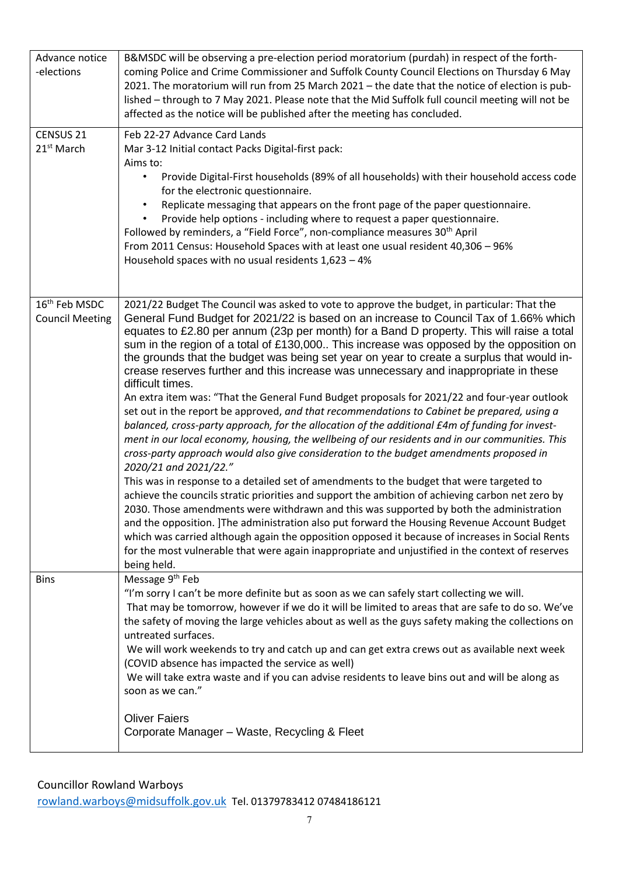| Advance notice<br>-elections                        | B&MSDC will be observing a pre-election period moratorium (purdah) in respect of the forth-<br>coming Police and Crime Commissioner and Suffolk County Council Elections on Thursday 6 May<br>2021. The moratorium will run from 25 March 2021 - the date that the notice of election is pub-<br>lished - through to 7 May 2021. Please note that the Mid Suffolk full council meeting will not be<br>affected as the notice will be published after the meeting has concluded.                                                                                                                                                                                                                                                                                                                                                                                                                                                                                                                                                                                                                                                                                                                                                                                                                                                                                                                                                                                                                                                                                                                                                                                                                                               |
|-----------------------------------------------------|-------------------------------------------------------------------------------------------------------------------------------------------------------------------------------------------------------------------------------------------------------------------------------------------------------------------------------------------------------------------------------------------------------------------------------------------------------------------------------------------------------------------------------------------------------------------------------------------------------------------------------------------------------------------------------------------------------------------------------------------------------------------------------------------------------------------------------------------------------------------------------------------------------------------------------------------------------------------------------------------------------------------------------------------------------------------------------------------------------------------------------------------------------------------------------------------------------------------------------------------------------------------------------------------------------------------------------------------------------------------------------------------------------------------------------------------------------------------------------------------------------------------------------------------------------------------------------------------------------------------------------------------------------------------------------------------------------------------------------|
| CENSUS <sub>21</sub><br>21 <sup>st</sup> March      | Feb 22-27 Advance Card Lands<br>Mar 3-12 Initial contact Packs Digital-first pack:<br>Aims to:<br>Provide Digital-First households (89% of all households) with their household access code<br>$\bullet$<br>for the electronic questionnaire.                                                                                                                                                                                                                                                                                                                                                                                                                                                                                                                                                                                                                                                                                                                                                                                                                                                                                                                                                                                                                                                                                                                                                                                                                                                                                                                                                                                                                                                                                 |
|                                                     | Replicate messaging that appears on the front page of the paper questionnaire.<br>Provide help options - including where to request a paper questionnaire.<br>Followed by reminders, a "Field Force", non-compliance measures 30 <sup>th</sup> April<br>From 2011 Census: Household Spaces with at least one usual resident 40,306 - 96%<br>Household spaces with no usual residents $1,623 - 4\%$                                                                                                                                                                                                                                                                                                                                                                                                                                                                                                                                                                                                                                                                                                                                                                                                                                                                                                                                                                                                                                                                                                                                                                                                                                                                                                                            |
| 16 <sup>th</sup> Feb MSDC<br><b>Council Meeting</b> | 2021/22 Budget The Council was asked to vote to approve the budget, in particular: That the<br>General Fund Budget for 2021/22 is based on an increase to Council Tax of 1.66% which<br>equates to £2.80 per annum (23p per month) for a Band D property. This will raise a total<br>sum in the region of a total of £130,000 This increase was opposed by the opposition on<br>the grounds that the budget was being set year on year to create a surplus that would in-<br>crease reserves further and this increase was unnecessary and inappropriate in these<br>difficult times.<br>An extra item was: "That the General Fund Budget proposals for 2021/22 and four-year outlook<br>set out in the report be approved, and that recommendations to Cabinet be prepared, using a<br>balanced, cross-party approach, for the allocation of the additional £4m of funding for invest-<br>ment in our local economy, housing, the wellbeing of our residents and in our communities. This<br>cross-party approach would also give consideration to the budget amendments proposed in<br>2020/21 and 2021/22."<br>This was in response to a detailed set of amendments to the budget that were targeted to<br>achieve the councils stratic priorities and support the ambition of achieving carbon net zero by<br>2030. Those amendments were withdrawn and this was supported by both the administration<br>and the opposition. The administration also put forward the Housing Revenue Account Budget<br>which was carried although again the opposition opposed it because of increases in Social Rents<br>for the most vulnerable that were again inappropriate and unjustified in the context of reserves<br>being held. |
| <b>Bins</b>                                         | Message 9 <sup>th</sup> Feb<br>"I'm sorry I can't be more definite but as soon as we can safely start collecting we will.<br>That may be tomorrow, however if we do it will be limited to areas that are safe to do so. We've<br>the safety of moving the large vehicles about as well as the guys safety making the collections on<br>untreated surfaces.<br>We will work weekends to try and catch up and can get extra crews out as available next week<br>(COVID absence has impacted the service as well)<br>We will take extra waste and if you can advise residents to leave bins out and will be along as<br>soon as we can."<br><b>Oliver Faiers</b>                                                                                                                                                                                                                                                                                                                                                                                                                                                                                                                                                                                                                                                                                                                                                                                                                                                                                                                                                                                                                                                                 |
|                                                     | Corporate Manager - Waste, Recycling & Fleet                                                                                                                                                                                                                                                                                                                                                                                                                                                                                                                                                                                                                                                                                                                                                                                                                                                                                                                                                                                                                                                                                                                                                                                                                                                                                                                                                                                                                                                                                                                                                                                                                                                                                  |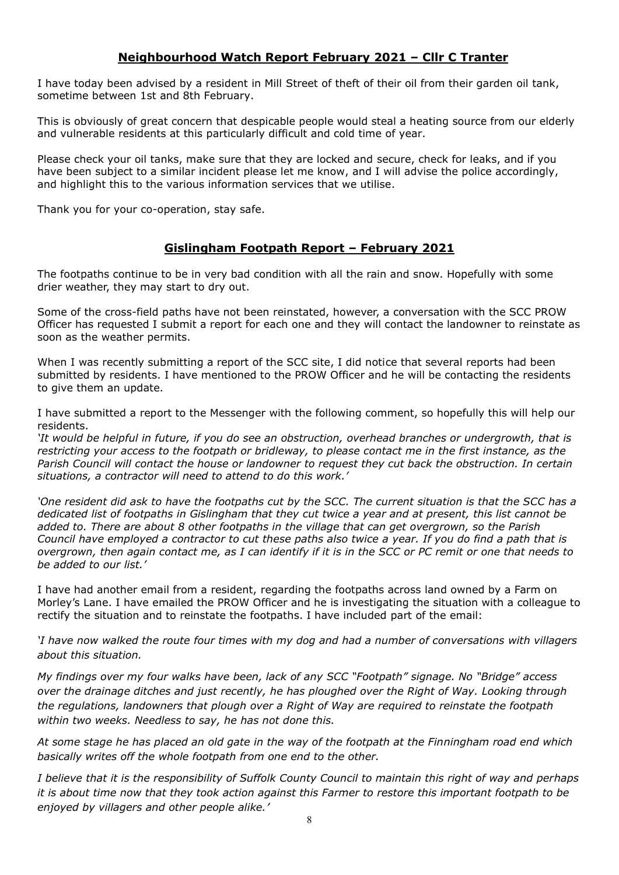# **Neighbourhood Watch Report February 2021 – Cllr C Tranter**

I have today been advised by a resident in Mill Street of theft of their oil from their garden oil tank, sometime between 1st and 8th February.

This is obviously of great concern that despicable people would steal a heating source from our elderly and vulnerable residents at this particularly difficult and cold time of year.

Please check your oil tanks, make sure that they are locked and secure, check for leaks, and if you have been subject to a similar incident please let me know, and I will advise the police accordingly, and highlight this to the various information services that we utilise.

Thank you for your co-operation, stay safe.

# **Gislingham Footpath Report – February 2021**

The footpaths continue to be in very bad condition with all the rain and snow. Hopefully with some drier weather, they may start to dry out.

Some of the cross-field paths have not been reinstated, however, a conversation with the SCC PROW Officer has requested I submit a report for each one and they will contact the landowner to reinstate as soon as the weather permits.

When I was recently submitting a report of the SCC site, I did notice that several reports had been submitted by residents. I have mentioned to the PROW Officer and he will be contacting the residents to give them an update.

I have submitted a report to the Messenger with the following comment, so hopefully this will help our residents.

*'It would be helpful in future, if you do see an obstruction, overhead branches or undergrowth, that is restricting your access to the footpath or bridleway, to please contact me in the first instance, as the Parish Council will contact the house or landowner to request they cut back the obstruction. In certain situations, a contractor will need to attend to do this work.'*

'One resident did ask to have the footpaths cut by the SCC. The current situation is that the SCC has a *dedicated list of footpaths in Gislingham that they cut twice a year and at present, this list cannot be added to. There are about 8 other footpaths in the village that can get overgrown, so the Parish Council have employed a contractor to cut these paths also twice a year. If you do find a path that is overgrown, then again contact me, as I can identify if it is in the SCC or PC remit or one that needs to be added to our list.'*

I have had another email from a resident, regarding the footpaths across land owned by a Farm on Morley's Lane. I have emailed the PROW Officer and he is investigating the situation with a colleague to rectify the situation and to reinstate the footpaths. I have included part of the email:

*'I have now walked the route four times with my dog and had a number of conversations with villagers about this situation.*

*My findings over my four walks have been, lack of any SCC "Footpath" signage. No "Bridge" access over the drainage ditches and just recently, he has ploughed over the Right of Way. Looking through the regulations, landowners that plough over a Right of Way are required to reinstate the footpath within two weeks. Needless to say, he has not done this.*

*At some stage he has placed an old gate in the way of the footpath at the Finningham road end which basically writes off the whole footpath from one end to the other.*

*I believe that it is the responsibility of Suffolk County Council to maintain this right of way and perhaps it is about time now that they took action against this Farmer to restore this important footpath to be enjoyed by villagers and other people alike.'*